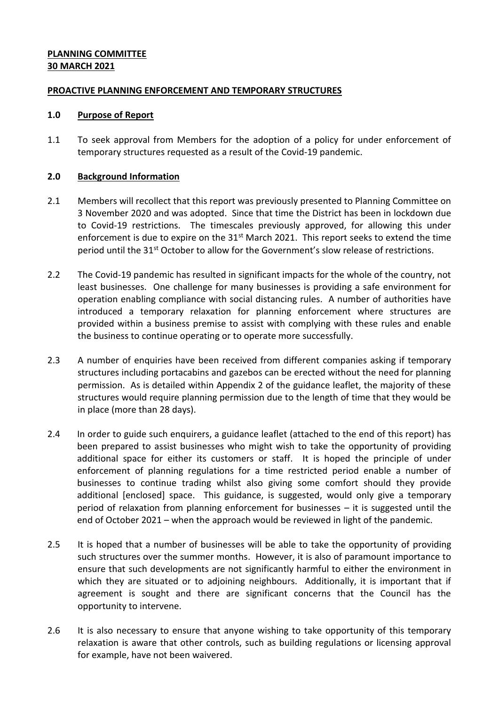### **PLANNING COMMITTEE 30 MARCH 2021**

### **PROACTIVE PLANNING ENFORCEMENT AND TEMPORARY STRUCTURES**

#### **1.0 Purpose of Report**

1.1 To seek approval from Members for the adoption of a policy for under enforcement of temporary structures requested as a result of the Covid-19 pandemic.

### **2.0 Background Information**

- 2.1 Members will recollect that this report was previously presented to Planning Committee on 3 November 2020 and was adopted. Since that time the District has been in lockdown due to Covid-19 restrictions. The timescales previously approved, for allowing this under enforcement is due to expire on the  $31<sup>st</sup>$  March 2021. This report seeks to extend the time period until the 31<sup>st</sup> October to allow for the Government's slow release of restrictions.
- 2.2 The Covid-19 pandemic has resulted in significant impacts for the whole of the country, not least businesses. One challenge for many businesses is providing a safe environment for operation enabling compliance with social distancing rules. A number of authorities have introduced a temporary relaxation for planning enforcement where structures are provided within a business premise to assist with complying with these rules and enable the business to continue operating or to operate more successfully.
- 2.3 A number of enquiries have been received from different companies asking if temporary structures including portacabins and gazebos can be erected without the need for planning permission. As is detailed within Appendix 2 of the guidance leaflet, the majority of these structures would require planning permission due to the length of time that they would be in place (more than 28 days).
- 2.4 In order to guide such enquirers, a guidance leaflet (attached to the end of this report) has been prepared to assist businesses who might wish to take the opportunity of providing additional space for either its customers or staff. It is hoped the principle of under enforcement of planning regulations for a time restricted period enable a number of businesses to continue trading whilst also giving some comfort should they provide additional [enclosed] space. This guidance, is suggested, would only give a temporary period of relaxation from planning enforcement for businesses – it is suggested until the end of October 2021 – when the approach would be reviewed in light of the pandemic.
- 2.5 It is hoped that a number of businesses will be able to take the opportunity of providing such structures over the summer months. However, it is also of paramount importance to ensure that such developments are not significantly harmful to either the environment in which they are situated or to adjoining neighbours. Additionally, it is important that if agreement is sought and there are significant concerns that the Council has the opportunity to intervene.
- 2.6 It is also necessary to ensure that anyone wishing to take opportunity of this temporary relaxation is aware that other controls, such as building regulations or licensing approval for example, have not been waivered.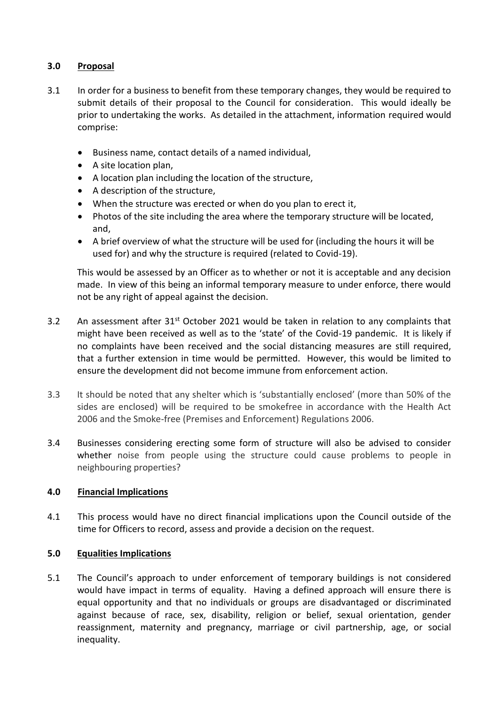# **3.0 Proposal**

- 3.1 In order for a business to benefit from these temporary changes, they would be required to submit details of their proposal to the Council for consideration. This would ideally be prior to undertaking the works. As detailed in the attachment, information required would comprise:
	- Business name, contact details of a named individual,
	- A site location plan,
	- A location plan including the location of the structure,
	- A description of the structure,
	- When the structure was erected or when do you plan to erect it,
	- Photos of the site including the area where the temporary structure will be located, and,
	- A brief overview of what the structure will be used for (including the hours it will be used for) and why the structure is required (related to Covid-19).

This would be assessed by an Officer as to whether or not it is acceptable and any decision made. In view of this being an informal temporary measure to under enforce, there would not be any right of appeal against the decision.

- 3.2 An assessment after  $31^{st}$  October 2021 would be taken in relation to any complaints that might have been received as well as to the 'state' of the Covid-19 pandemic. It is likely if no complaints have been received and the social distancing measures are still required, that a further extension in time would be permitted. However, this would be limited to ensure the development did not become immune from enforcement action.
- 3.3 It should be noted that any shelter which is 'substantially enclosed' (more than 50% of the sides are enclosed) will be required to be smokefree in accordance with the Health Act 2006 and the Smoke-free (Premises and Enforcement) Regulations 2006.
- 3.4 Businesses considering erecting some form of structure will also be advised to consider whether noise from people using the structure could cause problems to people in neighbouring properties?

# **4.0 Financial Implications**

4.1 This process would have no direct financial implications upon the Council outside of the time for Officers to record, assess and provide a decision on the request.

# **5.0 Equalities Implications**

5.1 The Council's approach to under enforcement of temporary buildings is not considered would have impact in terms of equality. Having a defined approach will ensure there is equal opportunity and that no individuals or groups are disadvantaged or discriminated against because of race, sex, disability, religion or belief, sexual orientation, gender reassignment, maternity and pregnancy, marriage or civil partnership, age, or social inequality.